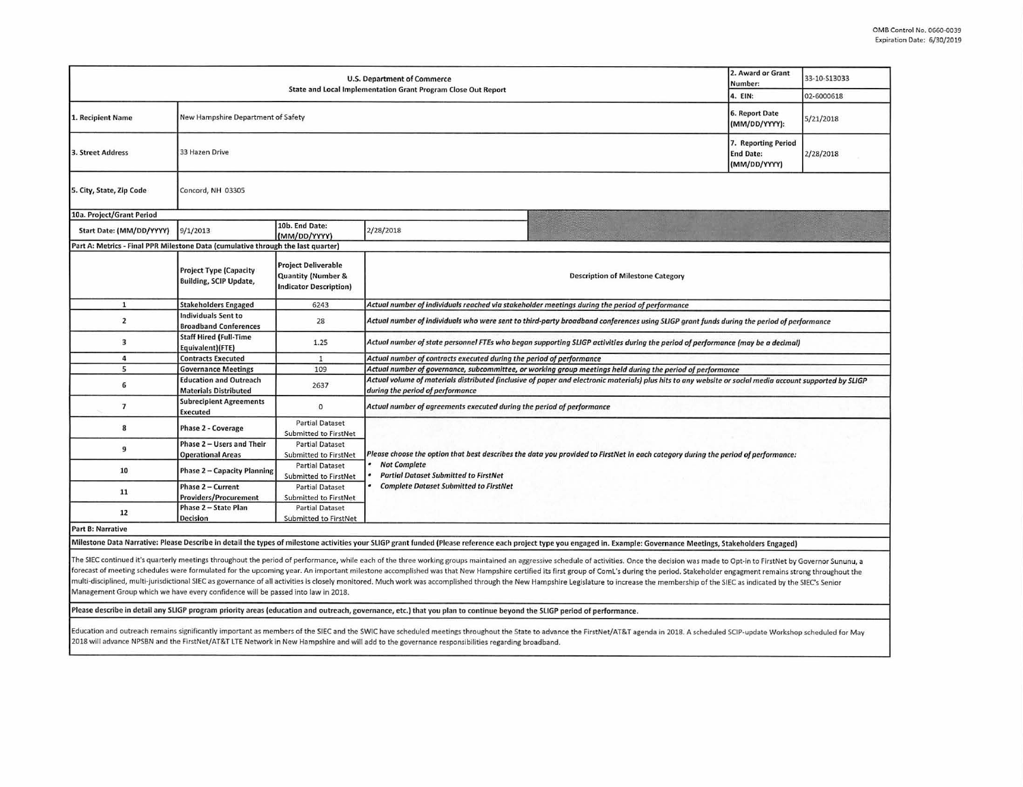| <b>U.S. Department of Commerce</b><br>State and Local Implementation Grant Program Close Out Report                                                                                                                                                                                                                                                                                                                                                                                                                                                                                                                                                                                                                                                                                    |                                                                           |                                                                                              |                                                                                                                                                                                              |  | 2. Award or Grant<br>Number:<br>4. EIN: | 33-10-513033<br>02-6000618 |  |  |  |
|----------------------------------------------------------------------------------------------------------------------------------------------------------------------------------------------------------------------------------------------------------------------------------------------------------------------------------------------------------------------------------------------------------------------------------------------------------------------------------------------------------------------------------------------------------------------------------------------------------------------------------------------------------------------------------------------------------------------------------------------------------------------------------------|---------------------------------------------------------------------------|----------------------------------------------------------------------------------------------|----------------------------------------------------------------------------------------------------------------------------------------------------------------------------------------------|--|-----------------------------------------|----------------------------|--|--|--|
| 1. Recipient Name                                                                                                                                                                                                                                                                                                                                                                                                                                                                                                                                                                                                                                                                                                                                                                      | New Hampshire Department of Safety                                        |                                                                                              |                                                                                                                                                                                              |  | 6. Report Date<br>(MM/DD/YYYY):         | 5/21/2018                  |  |  |  |
| 3. Street Address                                                                                                                                                                                                                                                                                                                                                                                                                                                                                                                                                                                                                                                                                                                                                                      | 7. Reporting Period<br>33 Hazen Drive<br><b>End Date:</b><br>(MM/DD/YYYY) |                                                                                              |                                                                                                                                                                                              |  |                                         | 2/28/2018                  |  |  |  |
| 5. City, State, Zip Code                                                                                                                                                                                                                                                                                                                                                                                                                                                                                                                                                                                                                                                                                                                                                               | Concord, NH 03305                                                         |                                                                                              |                                                                                                                                                                                              |  |                                         |                            |  |  |  |
| 10a. Project/Grant Period                                                                                                                                                                                                                                                                                                                                                                                                                                                                                                                                                                                                                                                                                                                                                              |                                                                           |                                                                                              |                                                                                                                                                                                              |  |                                         |                            |  |  |  |
| Start Date: (MM/DD/YYYY)                                                                                                                                                                                                                                                                                                                                                                                                                                                                                                                                                                                                                                                                                                                                                               | 9/1/2013                                                                  | 10b. End Date:<br>(MM/DD/YYYY)                                                               | 2/28/2018                                                                                                                                                                                    |  |                                         |                            |  |  |  |
| Part A: Metrics - Final PPR Milestone Data (cumulative through the last quarter)                                                                                                                                                                                                                                                                                                                                                                                                                                                                                                                                                                                                                                                                                                       |                                                                           |                                                                                              |                                                                                                                                                                                              |  |                                         |                            |  |  |  |
|                                                                                                                                                                                                                                                                                                                                                                                                                                                                                                                                                                                                                                                                                                                                                                                        | <b>Project Type (Capacity</b><br><b>Building, SCIP Update,</b>            | <b>Project Deliverable</b><br><b>Quantity (Number &amp;</b><br><b>Indicator Description)</b> | <b>Description of Milestone Category</b>                                                                                                                                                     |  |                                         |                            |  |  |  |
| $\mathbf{1}$                                                                                                                                                                                                                                                                                                                                                                                                                                                                                                                                                                                                                                                                                                                                                                           | <b>Stakeholders Engaged</b>                                               | 6243                                                                                         | Actual number of individuals reached via stakeholder meetings during the period of performance                                                                                               |  |                                         |                            |  |  |  |
| $\overline{2}$                                                                                                                                                                                                                                                                                                                                                                                                                                                                                                                                                                                                                                                                                                                                                                         | <b>Individuals Sent to</b><br><b>Broadband Conferences</b>                | 28                                                                                           | Actual number of individuals who were sent to third-party broadband conferences using SLIGP grant funds during the period of performance                                                     |  |                                         |                            |  |  |  |
| $\overline{3}$                                                                                                                                                                                                                                                                                                                                                                                                                                                                                                                                                                                                                                                                                                                                                                         | <b>Staff Hired (Full-Time</b><br>Equivalent)(FTE)                         | 1.25                                                                                         | Actual number of state personnel FTEs who began supporting SLIGP activities during the period of performance (may be a decimal)                                                              |  |                                         |                            |  |  |  |
| $\ddot{a}$                                                                                                                                                                                                                                                                                                                                                                                                                                                                                                                                                                                                                                                                                                                                                                             | <b>Contracts Executed</b>                                                 | $\mathbf{1}$                                                                                 | Actual number of contracts executed during the period of performance                                                                                                                         |  |                                         |                            |  |  |  |
| 5                                                                                                                                                                                                                                                                                                                                                                                                                                                                                                                                                                                                                                                                                                                                                                                      | <b>Governance Meetings</b>                                                | 109                                                                                          | Actual number of governance, subcommittee, or working group meetings held during the period of performance                                                                                   |  |                                         |                            |  |  |  |
| 6                                                                                                                                                                                                                                                                                                                                                                                                                                                                                                                                                                                                                                                                                                                                                                                      | <b>Education and Outreach</b><br><b>Materials Distributed</b>             | 2637                                                                                         | Actual volume of materials distributed (inclusive of paper and electronic materials) plus hits to any website or social media account supported by SLIGP<br>during the period of performance |  |                                         |                            |  |  |  |
| $\overline{7}$                                                                                                                                                                                                                                                                                                                                                                                                                                                                                                                                                                                                                                                                                                                                                                         | <b>Subrecipient Agreements</b><br><b>Executed</b>                         | $\mathbf{0}$                                                                                 | Actual number of agreements executed during the period of performance                                                                                                                        |  |                                         |                            |  |  |  |
| 8                                                                                                                                                                                                                                                                                                                                                                                                                                                                                                                                                                                                                                                                                                                                                                                      | <b>Phase 2 - Coverage</b>                                                 | <b>Partial Dataset</b><br>Submitted to FirstNet                                              |                                                                                                                                                                                              |  |                                         |                            |  |  |  |
| 9                                                                                                                                                                                                                                                                                                                                                                                                                                                                                                                                                                                                                                                                                                                                                                                      | Phase 2 - Users and Their<br><b>Operational Areas</b>                     | <b>Partial Dataset</b><br>Submitted to FirstNet                                              | Please choose the option that best describes the data you provided to FirstNet in each category during the period of performance:                                                            |  |                                         |                            |  |  |  |
| 10                                                                                                                                                                                                                                                                                                                                                                                                                                                                                                                                                                                                                                                                                                                                                                                     | Phase 2 - Capacity Planning                                               | <b>Partial Dataset</b><br>Submitted to FirstNet                                              | <b>Not Complete</b><br><b>Partial Dataset Submitted to FirstNet</b>                                                                                                                          |  |                                         |                            |  |  |  |
| 11                                                                                                                                                                                                                                                                                                                                                                                                                                                                                                                                                                                                                                                                                                                                                                                     | Phase 2 - Current<br><b>Providers/Procurement</b>                         | <b>Partial Dataset</b><br>Submitted to FirstNet                                              | <b>Complete Dataset Submitted to FirstNet</b>                                                                                                                                                |  |                                         |                            |  |  |  |
| 12                                                                                                                                                                                                                                                                                                                                                                                                                                                                                                                                                                                                                                                                                                                                                                                     | Phase 2 - State Plan<br><b>Decision</b>                                   | <b>Partial Dataset</b><br>Submitted to FirstNet                                              |                                                                                                                                                                                              |  |                                         |                            |  |  |  |
| <b>Part B: Narrative</b>                                                                                                                                                                                                                                                                                                                                                                                                                                                                                                                                                                                                                                                                                                                                                               |                                                                           |                                                                                              |                                                                                                                                                                                              |  |                                         |                            |  |  |  |
| Milestone Data Narrative: Please Describe in detail the types of milestone activities your SLIGP grant funded (Please reference each project type you engaged in. Example: Governance Meetings, Stakeholders Engaged)                                                                                                                                                                                                                                                                                                                                                                                                                                                                                                                                                                  |                                                                           |                                                                                              |                                                                                                                                                                                              |  |                                         |                            |  |  |  |
| The SIEC continued it's quarterly meetings throughout the period of performance, while each of the three working groups maintained an aggressive schedule of activities. Once the decision was made to Opt-in to FirstNet by G<br>forecast of meeting schedules were formulated for the upcoming year. An important milestone accomplished was that New Hampshire certified its first group of ComL's during the period. Stakeholder engagment remains strong th<br>multi-disciplined, multi-jurisdictional SIEC as governance of all activities is closely monitored. Much work was accomplished through the New Hampshire Legislature to increase the membership of the SIEC as indicated by the<br>Management Group which we have every confidence will be passed into law in 2018. |                                                                           |                                                                                              |                                                                                                                                                                                              |  |                                         |                            |  |  |  |
| Please describe in detail any SLIGP program priority areas (education and outreach, governance, etc.) that you plan to continue beyond the SLIGP period of performance.                                                                                                                                                                                                                                                                                                                                                                                                                                                                                                                                                                                                                |                                                                           |                                                                                              |                                                                                                                                                                                              |  |                                         |                            |  |  |  |
| Education and outreach remains significantly important as members of the SIEC and the SWIC have scheduled meetings throughout the State to advance the FirstNet/AT&T agenda in 2018. A scheduled SCIP-update Workshop schedule<br>2018 will advance NPSBN and the FirstNet/AT&T LTE Network in New Hampshire and will add to the governance responsibilities regarding broadband.                                                                                                                                                                                                                                                                                                                                                                                                      |                                                                           |                                                                                              |                                                                                                                                                                                              |  |                                         |                            |  |  |  |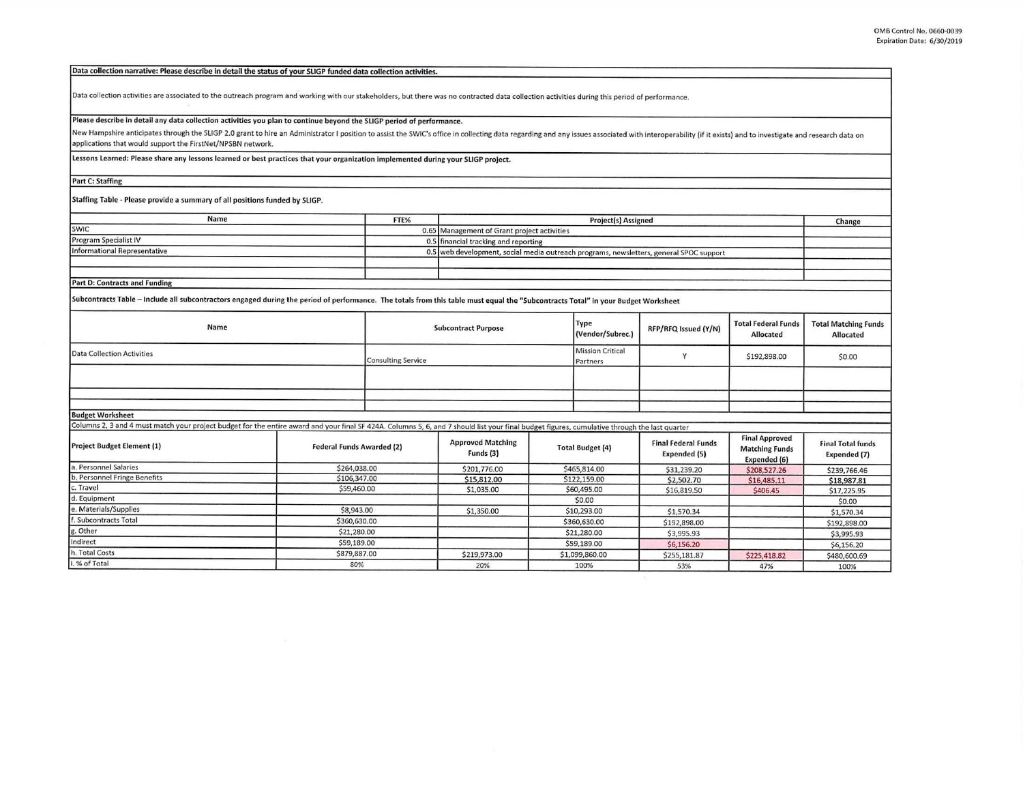| Data collection narrative: Please describe in detail the status of your SLIGP funded data collection activities.                                                                                                               |                                                                                |      |                                                                                        |                                     |                      |                                            |                                                                |                                          |
|--------------------------------------------------------------------------------------------------------------------------------------------------------------------------------------------------------------------------------|--------------------------------------------------------------------------------|------|----------------------------------------------------------------------------------------|-------------------------------------|----------------------|--------------------------------------------|----------------------------------------------------------------|------------------------------------------|
| Data collection activities are associated to the outreach program and working with our stakeholders, but there was no contracted data collection activities during this period of performance.                                 |                                                                                |      |                                                                                        |                                     |                      |                                            |                                                                |                                          |
| Please describe in detail any data collection activities you plan to continue beyond the SLIGP period of performance.                                                                                                          |                                                                                |      |                                                                                        |                                     |                      |                                            |                                                                |                                          |
| New Hampshire anticipates through the SLIGP 2.0 grant to hire an Administrator I position to assist the SWIC's office in collecting data regarding and any issues associated with interoperability (if it exists) and to inves |                                                                                |      |                                                                                        |                                     |                      |                                            |                                                                |                                          |
| applications that would support the FirstNet/NPSBN network.                                                                                                                                                                    |                                                                                |      |                                                                                        |                                     |                      |                                            |                                                                |                                          |
|                                                                                                                                                                                                                                |                                                                                |      |                                                                                        |                                     |                      |                                            |                                                                |                                          |
| Lessons Learned: Please share any lessons learned or best practices that your organization implemented during your SLIGP project.                                                                                              |                                                                                |      |                                                                                        |                                     |                      |                                            |                                                                |                                          |
| <b>Part C: Staffing</b>                                                                                                                                                                                                        |                                                                                |      |                                                                                        |                                     |                      |                                            |                                                                |                                          |
| Staffing Table - Please provide a summary of all positions funded by SLIGP.                                                                                                                                                    |                                                                                |      |                                                                                        |                                     |                      |                                            |                                                                |                                          |
| Name                                                                                                                                                                                                                           |                                                                                | FTE% | Project(s) Assigned                                                                    |                                     |                      |                                            |                                                                | Change                                   |
| SWIC                                                                                                                                                                                                                           |                                                                                |      | 0.65 Management of Grant project activities                                            |                                     |                      |                                            |                                                                |                                          |
| <b>Program Specialist IV</b>                                                                                                                                                                                                   |                                                                                |      | 0.5 financial tracking and reporting                                                   |                                     |                      |                                            |                                                                |                                          |
| <b>Informational Representative</b>                                                                                                                                                                                            |                                                                                |      | 0.5 web development, social media outreach programs, newsletters, general SPOC support |                                     |                      |                                            |                                                                |                                          |
|                                                                                                                                                                                                                                |                                                                                |      |                                                                                        |                                     |                      |                                            |                                                                |                                          |
|                                                                                                                                                                                                                                |                                                                                |      |                                                                                        |                                     |                      |                                            |                                                                |                                          |
| <b>Part D: Contracts and Funding</b>                                                                                                                                                                                           |                                                                                |      |                                                                                        |                                     |                      |                                            |                                                                |                                          |
| Subcontracts Table - Include all subcontractors engaged during the period of performance. The totals from this table must equal the "Subcontracts Total" in your Budget Worksheet                                              |                                                                                |      |                                                                                        |                                     |                      |                                            |                                                                |                                          |
| Name                                                                                                                                                                                                                           | <b>Subcontract Purpose</b>                                                     |      |                                                                                        | Type<br>(Vendor/Subrec.)            | RFP/RFQ Issued (Y/N) | <b>Total Federal Funds</b><br>Allocated    | <b>Total Matching Funds</b><br>Allocated                       |                                          |
| <b>Data Collection Activities</b>                                                                                                                                                                                              | <b>Consulting Service</b>                                                      |      |                                                                                        | <b>Mission Critical</b><br>Partners | Y                    | \$192,898.00                               | \$0.00                                                         |                                          |
|                                                                                                                                                                                                                                |                                                                                |      |                                                                                        |                                     |                      |                                            |                                                                |                                          |
|                                                                                                                                                                                                                                |                                                                                |      |                                                                                        |                                     |                      |                                            |                                                                |                                          |
|                                                                                                                                                                                                                                |                                                                                |      |                                                                                        |                                     |                      |                                            |                                                                |                                          |
| <b>Budget Worksheet</b>                                                                                                                                                                                                        |                                                                                |      |                                                                                        |                                     |                      |                                            |                                                                |                                          |
| Columns 2, 3 and 4 must match your project budget for the entire award and your final SF 424A. Columns 5, 6, and 7 should list your final budget figures, cumulative through the last quarter                                  |                                                                                |      |                                                                                        |                                     |                      |                                            |                                                                |                                          |
| <b>Project Budget Element (1)</b>                                                                                                                                                                                              | <b>Federal Funds Awarded (2)</b>                                               |      | <b>Approved Matching</b><br>Funds (3)                                                  | <b>Total Budget (4)</b>             |                      | <b>Final Federal Funds</b><br>Expended (5) | <b>Final Approved</b><br><b>Matching Funds</b><br>Expended (6) | <b>Final Total funds</b><br>Expended (7) |
| a. Personnel Salaries                                                                                                                                                                                                          | \$264,038.00                                                                   |      | \$201,776.00                                                                           | \$465,814.00                        |                      | \$31,239.20                                | \$208,527.26                                                   | \$239,766.46                             |
| b. Personnel Fringe Benefits                                                                                                                                                                                                   | \$106,347.00                                                                   |      | \$15,812.00                                                                            | \$122,159.00                        |                      | \$2,502.70                                 | \$16,485.11                                                    | \$18,987.81                              |
| c. Travel                                                                                                                                                                                                                      | \$59,460.00                                                                    |      | \$1,035.00                                                                             | \$60,495.00                         |                      | \$16,819.50                                | \$406.45                                                       | \$17,225.95                              |
| d. Equipment                                                                                                                                                                                                                   |                                                                                |      |                                                                                        | \$0.00                              |                      |                                            |                                                                | \$0.00                                   |
| e. Materials/Supplies<br>. Subcontracts Total                                                                                                                                                                                  | \$8,943.00                                                                     |      | \$1,350.00                                                                             | \$10,293.00                         |                      | \$1,570.34                                 |                                                                | \$1,570.34                               |
|                                                                                                                                                                                                                                | \$360,630.00                                                                   |      |                                                                                        | \$360,630.00                        |                      | \$192,898.00                               |                                                                | \$192,898.00                             |
| g. Other<br>Indirect                                                                                                                                                                                                           | \$21,280.00                                                                    |      |                                                                                        | \$21,280.00                         |                      | \$3,995.93                                 |                                                                | \$3,995.93                               |
| h. Total Costs                                                                                                                                                                                                                 | \$59,189.00                                                                    |      |                                                                                        | \$59,189.00                         |                      | \$6,156.20                                 |                                                                | \$6,156.20                               |
| % of Total                                                                                                                                                                                                                     | \$879,887.00<br>\$1,099,860.00<br>\$219,973.00<br>\$255,181.87<br>\$225,418.82 |      |                                                                                        | \$480,600.69                        |                      |                                            |                                                                |                                          |
|                                                                                                                                                                                                                                | 80%                                                                            |      | 20%                                                                                    | 100%                                |                      | 53%                                        | 47%                                                            | 100%                                     |